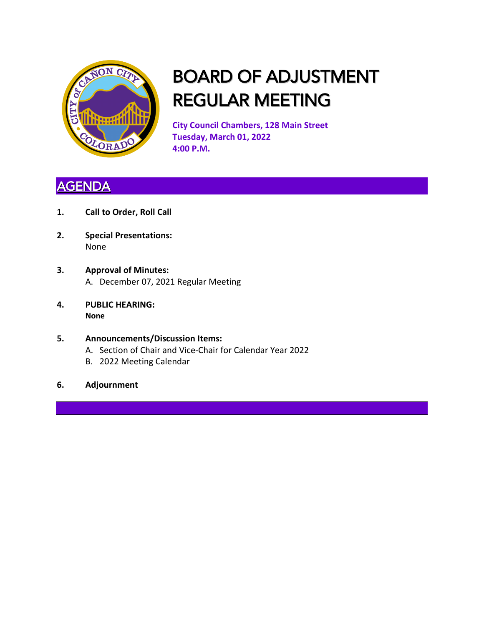

## BOARD OF ADJUSTMENT REGULAR MEETING

**City Council Chambers, 128 Main Street Tuesday, March 01, 2022 4:00 P.M.**

### **AGENDA**

- **1. Call to Order, Roll Call**
- **2. Special Presentations:** None
- **3. Approval of Minutes:** A. December 07, 2021 Regular Meeting
- **4. PUBLIC HEARING: None**
- **5. Announcements/Discussion Items:** A. Section of Chair and Vice-Chair for Calendar Year 2022 B. 2022 Meeting Calendar
- **6. Adjournment**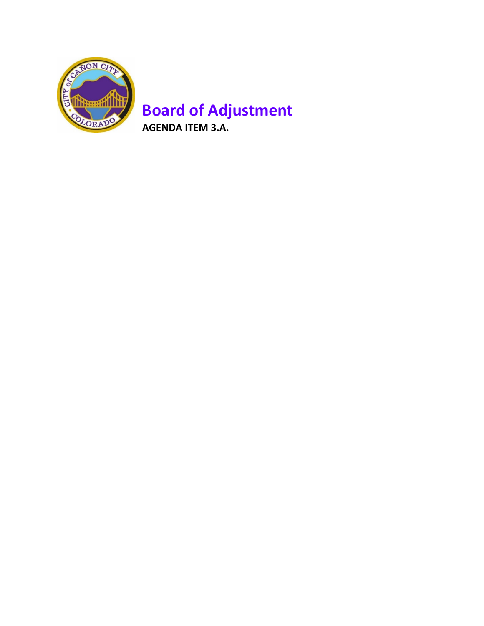

### **Board of Adjustment AGENDA ITEM 3.A.**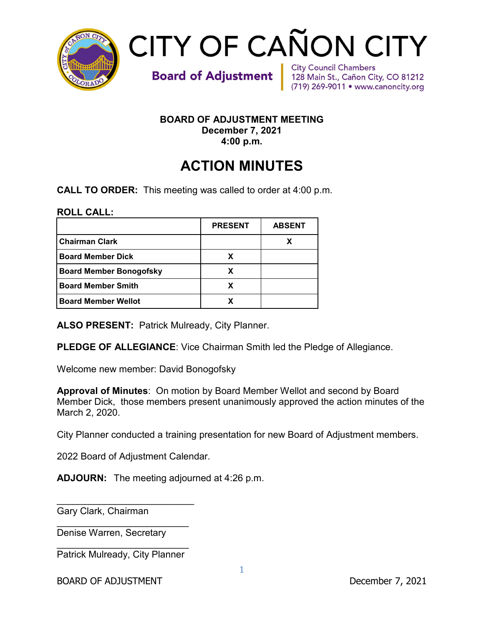

# **CITY OF CAÑON CITY**

**Board of Adjustment** 

**City Council Chambers** 128 Main St., Cañon City, CO 81212 (719) 269-9011 • www.canoncity.org

#### **BOARD OF ADJUSTMENT MEETING December 7, 2021 4:00 p.m.**

## **ACTION MINUTES**

**CALL TO ORDER:** This meeting was called to order at 4:00 p.m.

**ROLL CALL:** 

|                                | <b>PRESENT</b> | <b>ABSENT</b> |
|--------------------------------|----------------|---------------|
| <b>Chairman Clark</b>          |                |               |
| <b>Board Member Dick</b>       |                |               |
| <b>Board Member Bonogofsky</b> | x              |               |
| <b>Board Member Smith</b>      | x              |               |
| <b>Board Member Wellot</b>     |                |               |

**ALSO PRESENT:** Patrick Mulready, City Planner.

**PLEDGE OF ALLEGIANCE**: Vice Chairman Smith led the Pledge of Allegiance.

Welcome new member: David Bonogofsky

**Approval of Minutes**: On motion by Board Member Wellot and second by Board Member Dick, those members present unanimously approved the action minutes of the March 2, 2020.

City Planner conducted a training presentation for new Board of Adjustment members.

2022 Board of Adjustment Calendar.

**ADJOURN:** The meeting adjourned at 4:26 p.m.

\_\_\_\_\_\_\_\_\_\_\_\_\_\_\_\_\_\_\_\_\_\_\_\_\_\_ Gary Clark, Chairman

\_\_\_\_\_\_\_\_\_\_\_\_\_\_\_\_\_\_\_\_\_\_\_\_\_ Denise Warren, Secretary

\_\_\_\_\_\_\_\_\_\_\_\_\_\_\_\_\_\_\_\_\_\_\_\_\_ Patrick Mulready, City Planner

BOARD OF ADJUSTMENT DECEMBER 2021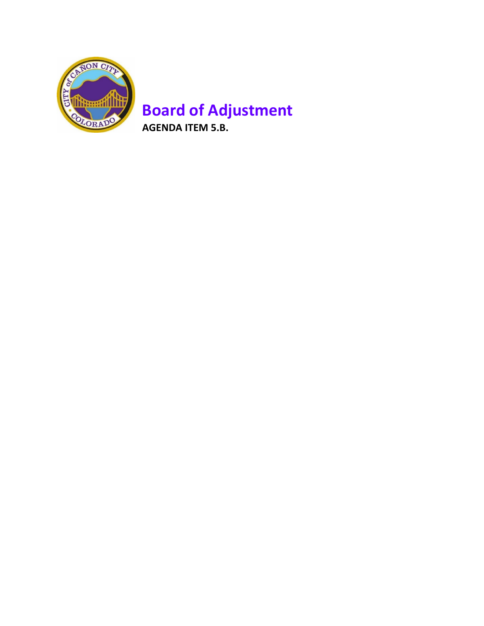

## **Board of Adjustment**

**AGENDA ITEM 5.B.**